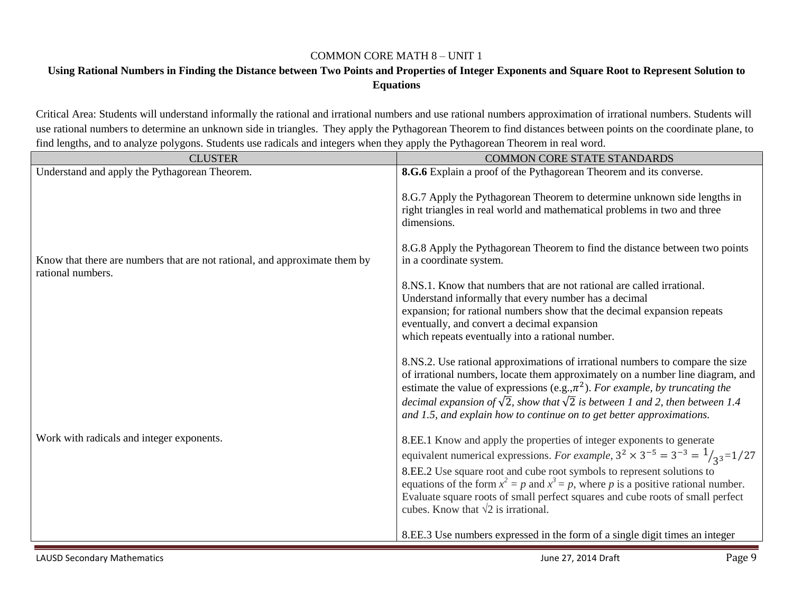## COMMON CORE MATH 8 – UNIT 1

## **Using Rational Numbers in Finding the Distance between Two Points and Properties of Integer Exponents and Square Root to Represent Solution to Equations**

Critical Area: Students will understand informally the rational and irrational numbers and use rational numbers approximation of irrational numbers. Students will use rational numbers to determine an unknown side in triangles. They apply the Pythagorean Theorem to find distances between points on the coordinate plane, to find lengths, and to analyze polygons. Students use radicals and integers when they apply the Pythagorean Theorem in real word.

| <b>CLUSTER</b>                                                             | <b>COMMON CORE STATE STANDARDS</b>                                                                                                                                                                                                                                                                                                                                                                                            |
|----------------------------------------------------------------------------|-------------------------------------------------------------------------------------------------------------------------------------------------------------------------------------------------------------------------------------------------------------------------------------------------------------------------------------------------------------------------------------------------------------------------------|
| Understand and apply the Pythagorean Theorem.                              | 8.G.6 Explain a proof of the Pythagorean Theorem and its converse.                                                                                                                                                                                                                                                                                                                                                            |
|                                                                            | 8.G.7 Apply the Pythagorean Theorem to determine unknown side lengths in<br>right triangles in real world and mathematical problems in two and three<br>dimensions.                                                                                                                                                                                                                                                           |
| Know that there are numbers that are not rational, and approximate them by | 8.G.8 Apply the Pythagorean Theorem to find the distance between two points<br>in a coordinate system.                                                                                                                                                                                                                                                                                                                        |
| rational numbers.                                                          | 8.NS.1. Know that numbers that are not rational are called irrational.<br>Understand informally that every number has a decimal<br>expansion; for rational numbers show that the decimal expansion repeats<br>eventually, and convert a decimal expansion<br>which repeats eventually into a rational number.                                                                                                                 |
|                                                                            | 8.NS.2. Use rational approximations of irrational numbers to compare the size<br>of irrational numbers, locate them approximately on a number line diagram, and<br>estimate the value of expressions (e.g., $\pi^2$ ). For example, by truncating the<br>decimal expansion of $\sqrt{2}$ , show that $\sqrt{2}$ is between 1 and 2, then between 1.4<br>and 1.5, and explain how to continue on to get better approximations. |
| Work with radicals and integer exponents.                                  | 8.EE.1 Know and apply the properties of integer exponents to generate<br>equivalent numerical expressions. For example, $3^2 \times 3^{-5} = 3^{-3} = \frac{1}{3^{3}} = \frac{1}{27}$<br>8.EE.2 Use square root and cube root symbols to represent solutions to<br>equations of the form $x^2 = p$ and $x^3 = p$ , where p is a positive rational number.                                                                     |
|                                                                            | Evaluate square roots of small perfect squares and cube roots of small perfect<br>cubes. Know that $\sqrt{2}$ is irrational.                                                                                                                                                                                                                                                                                                  |
|                                                                            | 8.EE.3 Use numbers expressed in the form of a single digit times an integer                                                                                                                                                                                                                                                                                                                                                   |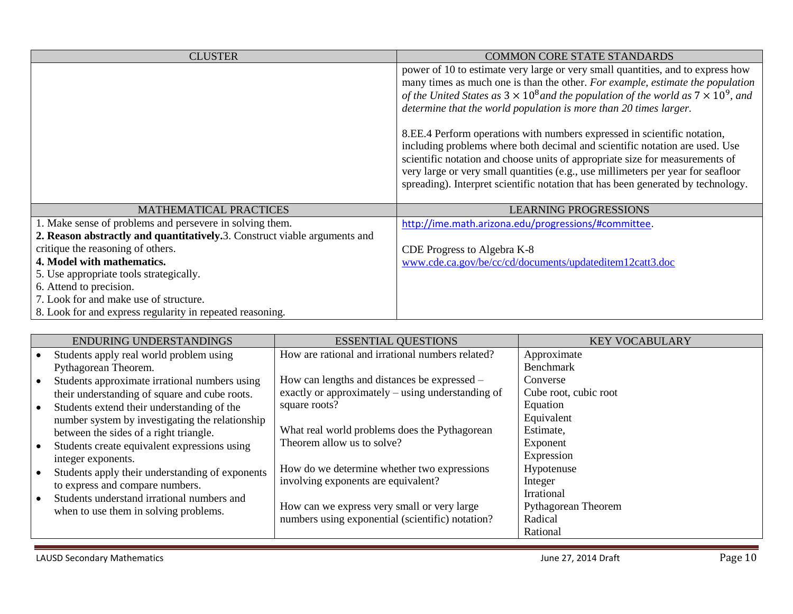| <b>CLUSTER</b>                                                            | <b>COMMON CORE STATE STANDARDS</b>                                                                                                                                                                                                                                                                                                                                                                                                                                                                                                                                                                                                                                                                                                                            |
|---------------------------------------------------------------------------|---------------------------------------------------------------------------------------------------------------------------------------------------------------------------------------------------------------------------------------------------------------------------------------------------------------------------------------------------------------------------------------------------------------------------------------------------------------------------------------------------------------------------------------------------------------------------------------------------------------------------------------------------------------------------------------------------------------------------------------------------------------|
|                                                                           | power of 10 to estimate very large or very small quantities, and to express how<br>many times as much one is than the other. For example, estimate the population<br>of the United States as $3 \times 10^8$ and the population of the world as $7 \times 10^9$ , and<br>determine that the world population is more than 20 times larger.<br>8.EE.4 Perform operations with numbers expressed in scientific notation,<br>including problems where both decimal and scientific notation are used. Use<br>scientific notation and choose units of appropriate size for measurements of<br>very large or very small quantities (e.g., use millimeters per year for seafloor<br>spreading). Interpret scientific notation that has been generated by technology. |
|                                                                           |                                                                                                                                                                                                                                                                                                                                                                                                                                                                                                                                                                                                                                                                                                                                                               |
| <b>MATHEMATICAL PRACTICES</b>                                             | <b>LEARNING PROGRESSIONS</b>                                                                                                                                                                                                                                                                                                                                                                                                                                                                                                                                                                                                                                                                                                                                  |
| 1. Make sense of problems and persevere in solving them.                  | http://ime.math.arizona.edu/progressions/#committee.                                                                                                                                                                                                                                                                                                                                                                                                                                                                                                                                                                                                                                                                                                          |
| 2. Reason abstractly and quantitatively.3. Construct viable arguments and |                                                                                                                                                                                                                                                                                                                                                                                                                                                                                                                                                                                                                                                                                                                                                               |
| critique the reasoning of others.                                         | CDE Progress to Algebra K-8                                                                                                                                                                                                                                                                                                                                                                                                                                                                                                                                                                                                                                                                                                                                   |
| 4. Model with mathematics.                                                | www.cde.ca.gov/be/cc/cd/documents/updateditem12catt3.doc                                                                                                                                                                                                                                                                                                                                                                                                                                                                                                                                                                                                                                                                                                      |
| 5. Use appropriate tools strategically.                                   |                                                                                                                                                                                                                                                                                                                                                                                                                                                                                                                                                                                                                                                                                                                                                               |
| 6. Attend to precision.                                                   |                                                                                                                                                                                                                                                                                                                                                                                                                                                                                                                                                                                                                                                                                                                                                               |
| 7. Look for and make use of structure.                                    |                                                                                                                                                                                                                                                                                                                                                                                                                                                                                                                                                                                                                                                                                                                                                               |
| 8. Look for and express regularity in repeated reasoning.                 |                                                                                                                                                                                                                                                                                                                                                                                                                                                                                                                                                                                                                                                                                                                                                               |

|           | ENDURING UNDERSTANDINGS                         | <b>ESSENTIAL QUESTIONS</b>                        | <b>KEY VOCABULARY</b>      |
|-----------|-------------------------------------------------|---------------------------------------------------|----------------------------|
| $\bullet$ | Students apply real world problem using         | How are rational and irrational numbers related?  | Approximate                |
|           | Pythagorean Theorem.                            |                                                   | Benchmark                  |
| $\bullet$ | Students approximate irrational numbers using   | How can lengths and distances be expressed –      | Converse                   |
|           | their understanding of square and cube roots.   | exactly or approximately – using understanding of | Cube root, cubic root      |
| $\bullet$ | Students extend their understanding of the      | square roots?                                     | Equation                   |
|           | number system by investigating the relationship |                                                   | Equivalent                 |
|           | between the sides of a right triangle.          | What real world problems does the Pythagorean     | Estimate,                  |
| $\bullet$ | Students create equivalent expressions using    | Theorem allow us to solve?                        | Exponent                   |
|           | integer exponents.                              |                                                   | Expression                 |
| $\bullet$ | Students apply their understanding of exponents | How do we determine whether two expressions       | Hypotenuse                 |
|           | to express and compare numbers.                 | involving exponents are equivalent?               | Integer                    |
| $\bullet$ | Students understand irrational numbers and      |                                                   | Irrational                 |
|           | when to use them in solving problems.           | How can we express very small or very large       | <b>Pythagorean Theorem</b> |
|           |                                                 | numbers using exponential (scientific) notation?  | Radical                    |
|           |                                                 |                                                   | Rational                   |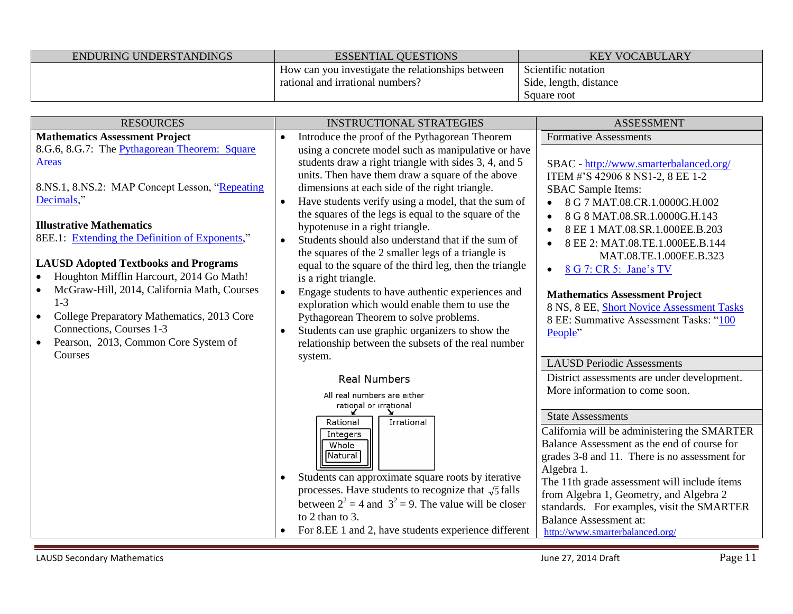| ENDURING UNDERSTANDINGS | <b>ESSENTIAL OUESTIONS</b>                        | <b>KEY VOCABULARY</b>  |
|-------------------------|---------------------------------------------------|------------------------|
|                         | How can you investigate the relationships between | Scientific notation    |
|                         | rational and irrational numbers?                  | Side, length, distance |
|                         |                                                   | Square root            |

| <b>RESOURCES</b>                                         | <b>INSTRUCTIONAL STRATEGIES</b>                             | <b>ASSESSMENT</b>                             |
|----------------------------------------------------------|-------------------------------------------------------------|-----------------------------------------------|
| <b>Mathematics Assessment Project</b>                    | Introduce the proof of the Pythagorean Theorem              | <b>Formative Assessments</b>                  |
| 8.G.6, 8.G.7: The Pythagorean Theorem: Square            | using a concrete model such as manipulative or have         |                                               |
| <b>Areas</b>                                             | students draw a right triangle with sides 3, 4, and 5       | SBAC - http://www.smarterbalanced.org/        |
|                                                          | units. Then have them draw a square of the above            | ITEM #'S 42906 8 NS1-2, 8 EE 1-2              |
| 8.NS.1, 8.NS.2: MAP Concept Lesson, "Repeating           | dimensions at each side of the right triangle.              | <b>SBAC</b> Sample Items:                     |
| Decimals,"                                               | Have students verify using a model, that the sum of         | 8 G 7 MAT.08.CR.1.0000G.H.002                 |
|                                                          | the squares of the legs is equal to the square of the       | 8 G 8 MAT.08.SR.1.0000G.H.143                 |
| <b>Illustrative Mathematics</b>                          | hypotenuse in a right triangle.                             | 8 EE 1 MAT.08.SR.1.000EE.B.203                |
| 8EE.1: Extending the Definition of Exponents,"           | Students should also understand that if the sum of          | 8 EE 2: MAT.08.TE.1.000EE.B.144               |
|                                                          | the squares of the 2 smaller legs of a triangle is          | MAT.08.TE.1.000EE.B.323                       |
| <b>LAUSD Adopted Textbooks and Programs</b>              | equal to the square of the third leg, then the triangle     | 8 G 7: CR 5: Jane's TV<br>$\bullet$           |
| Houghton Mifflin Harcourt, 2014 Go Math!<br>$\bullet$    | is a right triangle.                                        |                                               |
| McGraw-Hill, 2014, California Math, Courses<br>$\bullet$ | Engage students to have authentic experiences and           | <b>Mathematics Assessment Project</b>         |
| $1-3$                                                    | exploration which would enable them to use the              | 8 NS, 8 EE, Short Novice Assessment Tasks     |
| College Preparatory Mathematics, 2013 Core<br>$\bullet$  | Pythagorean Theorem to solve problems.                      | 8 EE: Summative Assessment Tasks: "100        |
| Connections, Courses 1-3                                 | Students can use graphic organizers to show the             | People"                                       |
| Pearson, 2013, Common Core System of                     | relationship between the subsets of the real number         |                                               |
| Courses                                                  | system.                                                     | <b>LAUSD Periodic Assessments</b>             |
|                                                          | <b>Real Numbers</b>                                         | District assessments are under development.   |
|                                                          | All real numbers are either                                 | More information to come soon.                |
|                                                          | rational or irrational                                      |                                               |
|                                                          | Rational<br>Irrational                                      | <b>State Assessments</b>                      |
|                                                          | Integers                                                    | California will be administering the SMARTER  |
|                                                          | Whole                                                       | Balance Assessment as the end of course for   |
|                                                          | Natural                                                     | grades 3-8 and 11. There is no assessment for |
|                                                          | Students can approximate square roots by iterative          | Algebra 1.                                    |
|                                                          | processes. Have students to recognize that $\sqrt{5}$ falls | The 11th grade assessment will include ítems  |
|                                                          | between $2^2 = 4$ and $3^2 = 9$ . The value will be closer  | from Algebra 1, Geometry, and Algebra 2       |
|                                                          | to 2 than to 3.                                             | standards. For examples, visit the SMARTER    |
|                                                          |                                                             | <b>Balance Assessment at:</b>                 |
|                                                          | For 8.EE 1 and 2, have students experience different        | http://www.smarterbalanced.org/               |

۰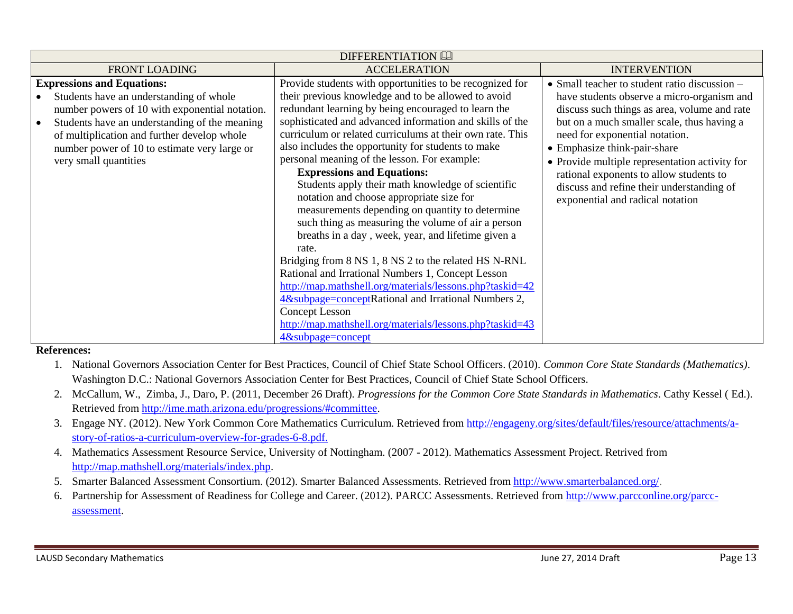| <b>DIFFERENTIATION</b>                                                                                                                                                                                                                                                                                  |                                                                                                                                                                                                                                                                                                                                                                                                                                                                                                                                                                                                                                                                                                                                                                                                                                                                                                                                                                                                                                                               |                                                                                                                                                                                                                                                                                                                                                                                                                                           |  |
|---------------------------------------------------------------------------------------------------------------------------------------------------------------------------------------------------------------------------------------------------------------------------------------------------------|---------------------------------------------------------------------------------------------------------------------------------------------------------------------------------------------------------------------------------------------------------------------------------------------------------------------------------------------------------------------------------------------------------------------------------------------------------------------------------------------------------------------------------------------------------------------------------------------------------------------------------------------------------------------------------------------------------------------------------------------------------------------------------------------------------------------------------------------------------------------------------------------------------------------------------------------------------------------------------------------------------------------------------------------------------------|-------------------------------------------------------------------------------------------------------------------------------------------------------------------------------------------------------------------------------------------------------------------------------------------------------------------------------------------------------------------------------------------------------------------------------------------|--|
| <b>FRONT LOADING</b>                                                                                                                                                                                                                                                                                    | <b>ACCELERATION</b>                                                                                                                                                                                                                                                                                                                                                                                                                                                                                                                                                                                                                                                                                                                                                                                                                                                                                                                                                                                                                                           | <b>INTERVENTION</b>                                                                                                                                                                                                                                                                                                                                                                                                                       |  |
| <b>Expressions and Equations:</b><br>Students have an understanding of whole<br>number powers of 10 with exponential notation.<br>Students have an understanding of the meaning<br>of multiplication and further develop whole<br>number power of 10 to estimate very large or<br>very small quantities | Provide students with opportunities to be recognized for<br>their previous knowledge and to be allowed to avoid<br>redundant learning by being encouraged to learn the<br>sophisticated and advanced information and skills of the<br>curriculum or related curriculums at their own rate. This<br>also includes the opportunity for students to make<br>personal meaning of the lesson. For example:<br><b>Expressions and Equations:</b><br>Students apply their math knowledge of scientific<br>notation and choose appropriate size for<br>measurements depending on quantity to determine<br>such thing as measuring the volume of air a person<br>breaths in a day, week, year, and lifetime given a<br>rate.<br>Bridging from 8 NS 1, 8 NS 2 to the related HS N-RNL<br>Rational and Irrational Numbers 1, Concept Lesson<br>http://map.mathshell.org/materials/lessons.php?taskid=42<br>4&subpage=conceptRational and Irrational Numbers 2,<br><b>Concept Lesson</b><br>http://map.mathshell.org/materials/lessons.php?taskid=43<br>4&subpage=concept | • Small teacher to student ratio discussion –<br>have students observe a micro-organism and<br>discuss such things as area, volume and rate<br>but on a much smaller scale, thus having a<br>need for exponential notation.<br>• Emphasize think-pair-share<br>• Provide multiple representation activity for<br>rational exponents to allow students to<br>discuss and refine their understanding of<br>exponential and radical notation |  |

## **References:**

- 1. National Governors Association Center for Best Practices, Council of Chief State School Officers. (2010). *Common Core State Standards (Mathematics)*. Washington D.C.: National Governors Association Center for Best Practices, Council of Chief State School Officers.
- 2. McCallum, W., Zimba, J., Daro, P. (2011, December 26 Draft). *Progressions for the Common Core State Standards in Mathematics*. Cathy Kessel ( Ed.). Retrieved fro[m http://ime.math.arizona.edu/progressions/#committee.](http://ime.math.arizona.edu/progressions/#committee)
- 3. Engage NY. (2012). New York Common Core Mathematics Curriculum. Retrieved from [http://engageny.org/sites/default/files/resource/attachments/a](http://engageny.org/sites/default/files/resource/attachments/a-story-of-ratios-a-curriculum-overview-for-grades-6-8.pdf)[story-of-ratios-a-curriculum-overview-for-grades-6-8.pdf.](http://engageny.org/sites/default/files/resource/attachments/a-story-of-ratios-a-curriculum-overview-for-grades-6-8.pdf)
- 4. Mathematics Assessment Resource Service, University of Nottingham. (2007 2012). Mathematics Assessment Project. Retrived from [http://map.mathshell.org/materials/index.php.](http://map.mathshell.org/materials/index.php)
- 5. Smarter Balanced Assessment Consortium. (2012). Smarter Balanced Assessments. Retrieved from [http://www.smarterbalanced.org/.](http://www.smarterbalanced.org/)
- 6. Partnership for Assessment of Readiness for College and Career. (2012). PARCC Assessments. Retrieved from [http://www.parcconline.org/parcc](http://www.parcconline.org/parcc-assessment)[assessment.](http://www.parcconline.org/parcc-assessment)